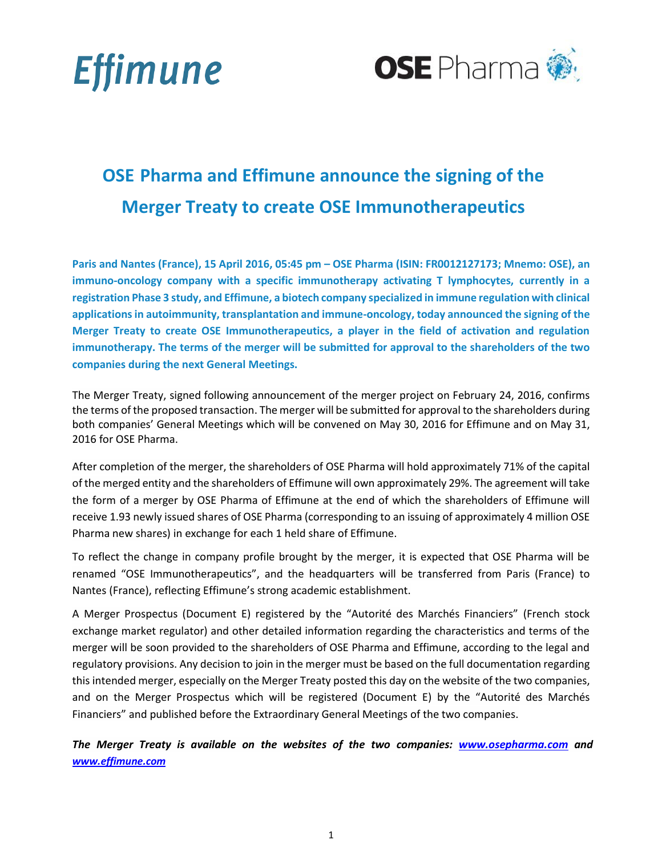



# **OSE Pharma and Effimune announce the signing of the Merger Treaty to create OSE Immunotherapeutics**

**Paris and Nantes (France), 15 April 2016, 05:45 pm – OSE Pharma (ISIN: FR0012127173; Mnemo: OSE), an immuno-oncology company with a specific immunotherapy activating T lymphocytes, currently in a registration Phase 3 study, and Effimune, a biotech company specialized in immune regulation with clinical applications in autoimmunity, transplantation and immune-oncology, today announced the signing of the Merger Treaty to create OSE Immunotherapeutics, a player in the field of activation and regulation immunotherapy. The terms of the merger will be submitted for approval to the shareholders of the two companies during the next General Meetings.**

The Merger Treaty, signed following announcement of the merger project on February 24, 2016, confirms the terms of the proposed transaction. The merger will be submitted for approval to the shareholders during both companies' General Meetings which will be convened on May 30, 2016 for Effimune and on May 31, 2016 for OSE Pharma.

After completion of the merger, the shareholders of OSE Pharma will hold approximately 71% of the capital of the merged entity and the shareholders of Effimune will own approximately 29%. The agreement will take the form of a merger by OSE Pharma of Effimune at the end of which the shareholders of Effimune will receive 1.93 newly issued shares of OSE Pharma (corresponding to an issuing of approximately 4 million OSE Pharma new shares) in exchange for each 1 held share of Effimune.

To reflect the change in company profile brought by the merger, it is expected that OSE Pharma will be renamed "OSE Immunotherapeutics", and the headquarters will be transferred from Paris (France) to Nantes (France), reflecting Effimune's strong academic establishment.

A Merger Prospectus (Document E) registered by the "Autorité des Marchés Financiers" (French stock exchange market regulator) and other detailed information regarding the characteristics and terms of the merger will be soon provided to the shareholders of OSE Pharma and Effimune, according to the legal and regulatory provisions. Any decision to join in the merger must be based on the full documentation regarding this intended merger, especially on the Merger Treaty posted this day on the website of the two companies, and on the Merger Prospectus which will be registered (Document E) by the "Autorité des Marchés Financiers" and published before the Extraordinary General Meetings of the two companies.

*The Merger Treaty is available on the websites of the two companies: [www.osepharma.com](www.osepharma.com/) and www.effimune.com*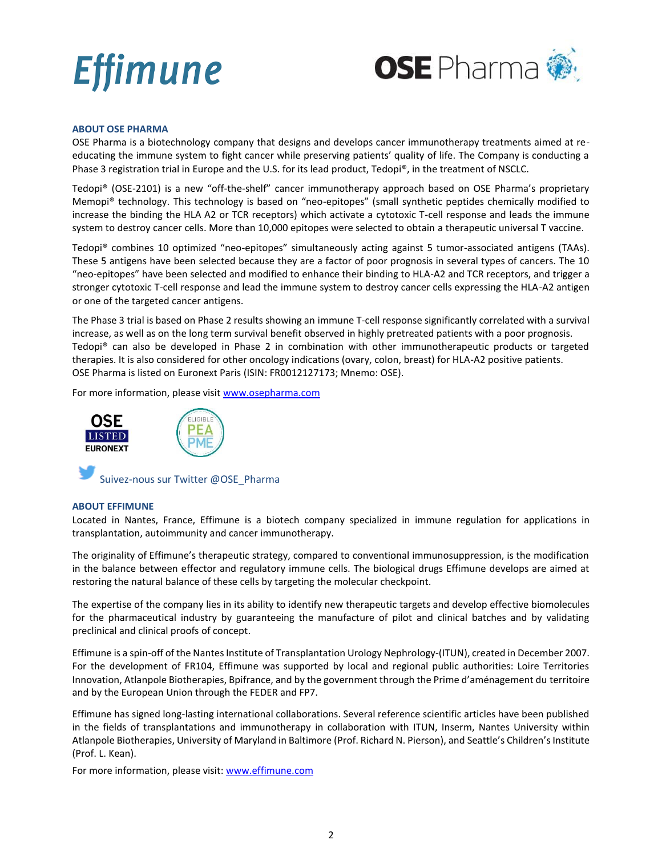

# **ABOUT OSE PHARMA**

OSE Pharma is a biotechnology company that designs and develops cancer immunotherapy treatments aimed at reeducating the immune system to fight cancer while preserving patients' quality of life. The Company is conducting a Phase 3 registration trial in Europe and the U.S. for its lead product, Tedopi®, in the treatment of NSCLC.

Tedopi® (OSE-2101) is a new "off-the-shelf" cancer immunotherapy approach based on OSE Pharma's proprietary Memopi® technology. This technology is based on "neo-epitopes" (small synthetic peptides chemically modified to increase the binding the HLA A2 or TCR receptors) which activate a cytotoxic T-cell response and leads the immune system to destroy cancer cells. More than 10,000 epitopes were selected to obtain a therapeutic universal T vaccine.

Tedopi® combines 10 optimized "neo-epitopes" simultaneously acting against 5 tumor-associated antigens (TAAs). These 5 antigens have been selected because they are a factor of poor prognosis in several types of cancers. The 10 "neo-epitopes" have been selected and modified to enhance their binding to HLA-A2 and TCR receptors, and trigger a stronger cytotoxic T-cell response and lead the immune system to destroy cancer cells expressing the HLA-A2 antigen or one of the targeted cancer antigens.

The Phase 3 trial is based on Phase 2 results showing an immune T-cell response significantly correlated with a survival increase, as well as on the long term survival benefit observed in highly pretreated patients with a poor prognosis. Tedopi® can also be developed in Phase 2 in combination with other immunotherapeutic products or targeted therapies. It is also considered for other oncology indications (ovary, colon, breast) for HLA-A2 positive patients. OSE Pharma is listed on Euronext Paris (ISIN: FR0012127173; Mnemo: OSE).

For more information, please visi[t www.osepharma.com](http://www.osepharma.com/)



# **ABOUT EFFIMUNE**

Located in Nantes, France, Effimune is a biotech company specialized in immune regulation for applications in transplantation, autoimmunity and cancer immunotherapy.

The originality of Effimune's therapeutic strategy, compared to conventional immunosuppression, is the modification in the balance between effector and regulatory immune cells. The biological drugs Effimune develops are aimed at restoring the natural balance of these cells by targeting the molecular checkpoint.

The expertise of the company lies in its ability to identify new therapeutic targets and develop effective biomolecules for the pharmaceutical industry by guaranteeing the manufacture of pilot and clinical batches and by validating preclinical and clinical proofs of concept.

Effimune is a spin-off of the Nantes Institute of Transplantation Urology Nephrology-(ITUN), created in December 2007. For the development of FR104, Effimune was supported by local and regional public authorities: Loire Territories Innovation, Atlanpole Biotherapies, Bpifrance, and by the government through the Prime d'aménagement du territoire and by the European Union through the FEDER and FP7.

Effimune has signed long-lasting international collaborations. Several reference scientific articles have been published in the fields of transplantations and immunotherapy in collaboration with ITUN, Inserm, Nantes University within Atlanpole Biotherapies, University of Maryland in Baltimore (Prof. Richard N. Pierson), and Seattle's Children's Institute (Prof. L. Kean).

For more information, please visit: [www.effimune.com](http://www.effimune.com/)